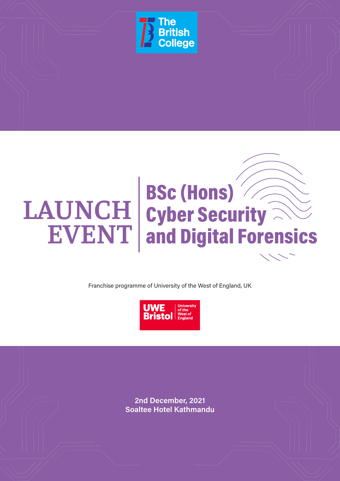

# BSc (Hons) LAUNCH cyber Security **EVENT** and Digital Forensics

Franchise programme of University of the West of England, UK



**2nd December, 2021 Soaltee Hotel Kathmandu**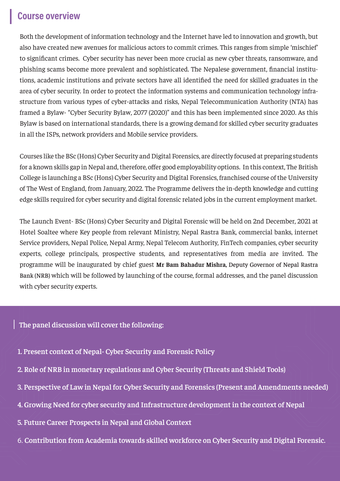## **Course overview**

Both the development of information technology and the Internet have led to innovation and growth, but also have created new avenues for malicious actors to commit crimes. This ranges from simple 'mischief' to significant crimes. Cyber security has never been more crucial as new cyber threats, ransomware, and phishing scams become more prevalent and sophisticated. The Nepalese government, financial institutions, academic institutions and private sectors have all identified the need for skilled graduates in the area of cyber security. In order to protect the information systems and communication technology infrastructure from various types of cyber-attacks and risks, Nepal Telecommunication Authority (NTA) has framed a Bylaw- "Cyber Security Bylaw, 2077 (2020)" and this has been implemented since 2020. As this Bylaw is based on international standards, there is a growing demand for skilled cyber security graduates in all the ISPs, network providers and Mobile service providers.

Courses like the BSc (Hons) Cyber Security and Digital Forensics, are directly focused at preparing students for a known skills gap in Nepal and, therefore, offer good employability options. In this context, The British College is launching a BSc (Hons) Cyber Security and Digital Forensics, franchised course of the University of The West of England, from January, 2022. The Programme delivers the in-depth knowledge and cutting edge skills required for cyber security and digital forensic related jobs in the current employment market.

The Launch Event- BSc (Hons) Cyber Security and Digital Forensic will be held on 2nd December, 2021 at Hotel Soaltee where Key people from relevant Ministry, Nepal Rastra Bank, commercial banks, internet Service providers, Nepal Police, Nepal Army, Nepal Telecom Authority, FinTech companies, cyber security experts, college principals, prospective students, and representatives from media are invited. The programme will be inaugurated by chief guest **Mr Bam Bahadur Mishra,** Deputy Governor of Nepal Rastra Bank (NRB) which will be followed by launching of the course, formal addresses, and the panel discussion with cyber security experts.

### **The panel discussion will cover the following:**

- **1. Present context of Nepal- Cyber Security and Forensic Policy**
- **2. Role of NRB in monetary regulations and Cyber Security (Threats and Shield Tools)**
- **3. Perspective of Law in Nepal for Cyber Security and Forensics (Present and Amendments needed)**
- **4. Growing Need for cyber security and Infrastructure development in the context of Nepal**
- **5. Future Career Prospects in Nepal and Global Context**
- 6. **Contribution from Academia towards skilled workforce on Cyber Security and Digital Forensic.**